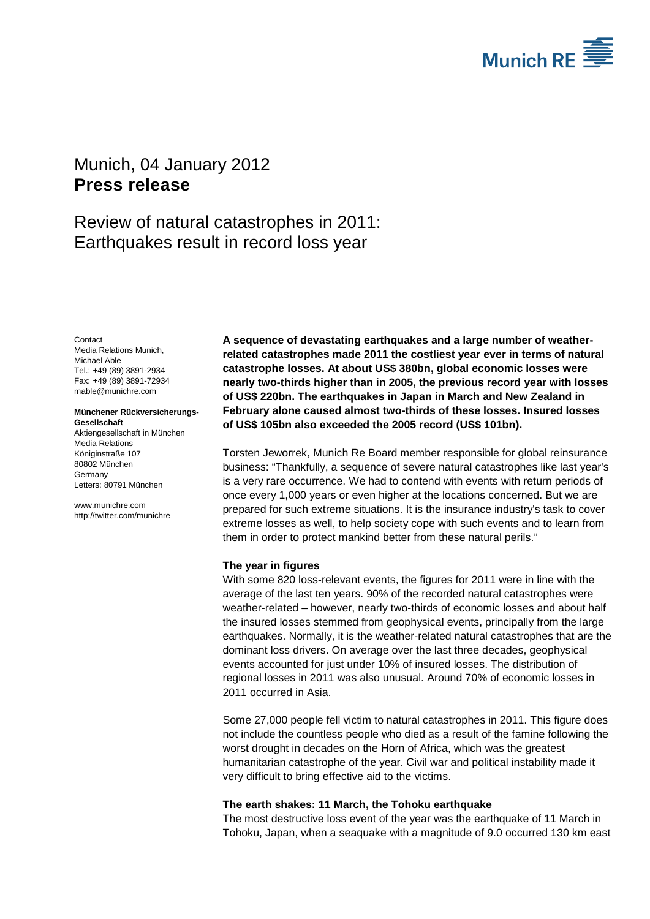

# <span id="page-0-1"></span><span id="page-0-0"></span>Munich, 04 January 2012 **Press release**

# Review of natural catastrophes in 2011: Earthquakes result in record loss year

<span id="page-0-3"></span><span id="page-0-2"></span>**Contact** Media Relations Munich, Michael Able Tel.: +49 (89) 3891-2934 Fax: +49 (89) 3891-72934 mable@munichre.com

#### **Münchener Rückversicherungs-Gesellschaft** Aktiengesellschaft in München

Media Relations Königinstraße 107 80802 München Germany Letters: 80791 München

www.munichre.com http://twitter.com/munichre **A sequence of devastating earthquakes and a large number of weatherrelated catastrophes made 2011 the costliest year ever in terms of natural catastrophe losses. At about US\$ 380bn, global economic losses were nearly two-thirds higher than in 2005, the previous record year with losses of US\$ 220bn. The earthquakes in Japan in March and New Zealand in February alone caused almost two-thirds of these losses. Insured losses of US\$ 105bn also exceeded the 2005 record (US\$ 101bn).**

Torsten Jeworrek, Munich Re Board member responsible for global reinsurance business: "Thankfully, a sequence of severe natural catastrophes like last year's is a very rare occurrence. We had to contend with events with return periods of once every 1,000 years or even higher at the locations concerned. But we are prepared for such extreme situations. It is the insurance industry's task to cover extreme losses as well, to help society cope with such events and to learn from them in order to protect mankind better from these natural perils."

# **The year in figures**

With some 820 loss-relevant events, the figures for 2011 were in line with the average of the last ten years. 90% of the recorded natural catastrophes were weather-related – however, nearly two-thirds of economic losses and about half the insured losses stemmed from geophysical events, principally from the large earthquakes. Normally, it is the weather-related natural catastrophes that are the dominant loss drivers. On average over the last three decades, geophysical events accounted for just under 10% of insured losses. The distribution of regional losses in 2011 was also unusual. Around 70% of economic losses in 2011 occurred in Asia.

Some 27,000 people fell victim to natural catastrophes in 2011. This figure does not include the countless people who died as a result of the famine following the worst drought in decades on the Horn of Africa, which was the greatest humanitarian catastrophe of the year. Civil war and political instability made it very difficult to bring effective aid to the victims.

# **The earth shakes: 11 March, the Tohoku earthquake**

The most destructive loss event of the year was the earthquake of 11 March in Tohoku, Japan, when a seaquake with a magnitude of 9.0 occurred 130 km east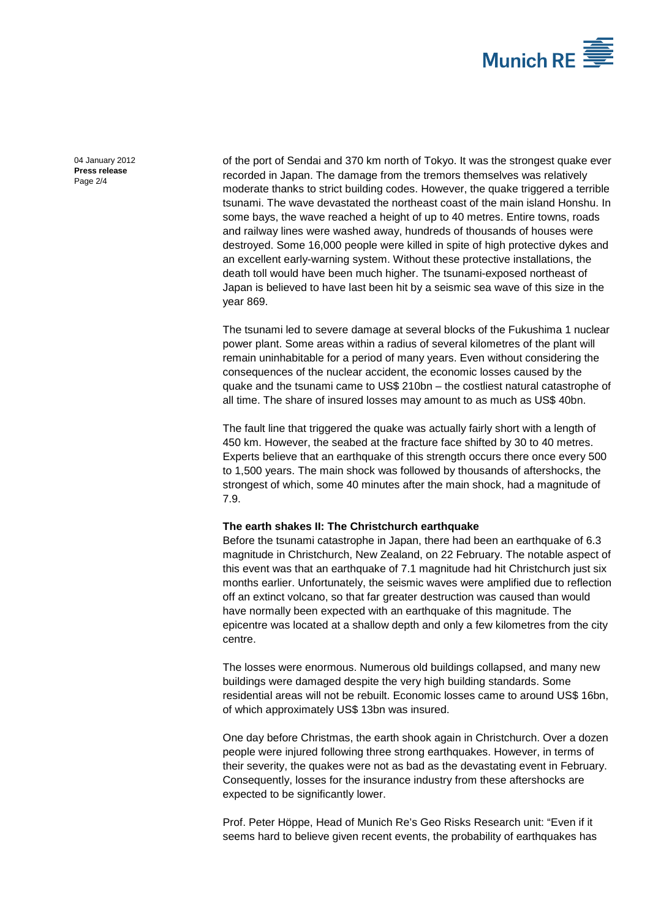

[04 January 2012](#page-0-0) **Press [release](#page-0-1)** Page 2/4

of the port of Sendai and 370 km north of Tokyo. It was the strongest quake ever recorded in Japan. The damage from the tremors themselves was relatively moderate thanks to strict building codes. However, the quake triggered a terrible tsunami. The wave devastated the northeast coast of the main island Honshu. In some bays, the wave reached a height of up to 40 metres. Entire towns, roads and railway lines were washed away, hundreds of thousands of houses were destroyed. Some 16,000 people were killed in spite of high protective dykes and an excellent early-warning system. Without these protective installations, the death toll would have been much higher. The tsunami-exposed northeast of Japan is believed to have last been hit by a seismic sea wave of this size in the year 869.

The tsunami led to severe damage at several blocks of the Fukushima 1 nuclear power plant. Some areas within a radius of several kilometres of the plant will remain uninhabitable for a period of many years. Even without considering the consequences of the nuclear accident, the economic losses caused by the quake and the tsunami came to US\$ 210bn – the costliest natural catastrophe of all time. The share of insured losses may amount to as much as US\$ 40bn.

The fault line that triggered the quake was actually fairly short with a length of 450 km. However, the seabed at the fracture face shifted by 30 to 40 metres. Experts believe that an earthquake of this strength occurs there once every 500 to 1,500 years. The main shock was followed by thousands of aftershocks, the strongest of which, some 40 minutes after the main shock, had a magnitude of 7.9.

### **The earth shakes II: The Christchurch earthquake**

Before the tsunami catastrophe in Japan, there had been an earthquake of 6.3 magnitude in Christchurch, New Zealand, on 22 February. The notable aspect of this event was that an earthquake of 7.1 magnitude had hit Christchurch just six months earlier. Unfortunately, the seismic waves were amplified due to reflection off an extinct volcano, so that far greater destruction was caused than would have normally been expected with an earthquake of this magnitude. The epicentre was located at a shallow depth and only a few kilometres from the city centre.

The losses were enormous. Numerous old buildings collapsed, and many new buildings were damaged despite the very high building standards. Some residential areas will not be rebuilt. Economic losses came to around US\$ 16bn, of which approximately US\$ 13bn was insured.

One day before Christmas, the earth shook again in Christchurch. Over a dozen people were injured following three strong earthquakes. However, in terms of their severity, the quakes were not as bad as the devastating event in February. Consequently, losses for the insurance industry from these aftershocks are expected to be significantly lower.

Prof. Peter Höppe, Head of Munich Re's Geo Risks Research unit: "Even if it seems hard to believe given recent events, the probability of earthquakes has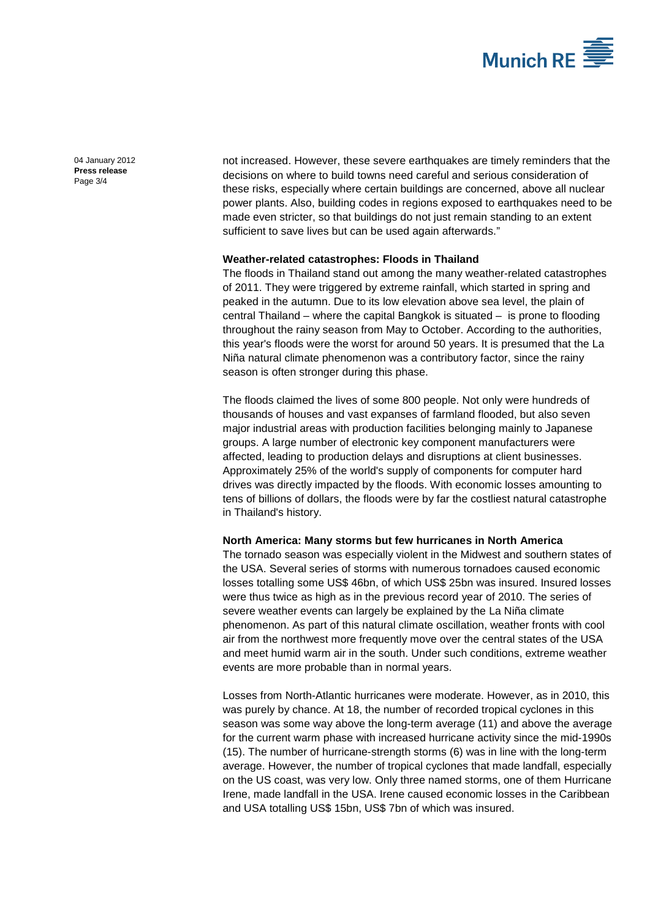

[04 January 2012](#page-0-0) **Press [release](#page-0-1)** Page 3/4

not increased. However, these severe earthquakes are timely reminders that the decisions on where to build towns need careful and serious consideration of these risks, especially where certain buildings are concerned, above all nuclear power plants. Also, building codes in regions exposed to earthquakes need to be made even stricter, so that buildings do not just remain standing to an extent sufficient to save lives but can be used again afterwards."

## **Weather-related catastrophes: Floods in Thailand**

The floods in Thailand stand out among the many weather-related catastrophes of 2011. They were triggered by extreme rainfall, which started in spring and peaked in the autumn. Due to its low elevation above sea level, the plain of central Thailand – where the capital Bangkok is situated – is prone to flooding throughout the rainy season from May to October. According to the authorities, this year's floods were the worst for around 50 years. It is presumed that the La Niña natural climate phenomenon was a contributory factor, since the rainy season is often stronger during this phase.

The floods claimed the lives of some 800 people. Not only were hundreds of thousands of houses and vast expanses of farmland flooded, but also seven major industrial areas with production facilities belonging mainly to Japanese groups. A large number of electronic key component manufacturers were affected, leading to production delays and disruptions at client businesses. Approximately 25% of the world's supply of components for computer hard drives was directly impacted by the floods. With economic losses amounting to tens of billions of dollars, the floods were by far the costliest natural catastrophe in Thailand's history.

### **North America: Many storms but few hurricanes in North America**

The tornado season was especially violent in the Midwest and southern states of the USA. Several series of storms with numerous tornadoes caused economic losses totalling some US\$ 46bn, of which US\$ 25bn was insured. Insured losses were thus twice as high as in the previous record year of 2010. The series of severe weather events can largely be explained by the La Niña climate phenomenon. As part of this natural climate oscillation, weather fronts with cool air from the northwest more frequently move over the central states of the USA and meet humid warm air in the south. Under such conditions, extreme weather events are more probable than in normal years.

Losses from North-Atlantic hurricanes were moderate. However, as in 2010, this was purely by chance. At 18, the number of recorded tropical cyclones in this season was some way above the long-term average (11) and above the average for the current warm phase with increased hurricane activity since the mid-1990s (15). The number of hurricane-strength storms (6) was in line with the long-term average. However, the number of tropical cyclones that made landfall, especially on the US coast, was very low. Only three named storms, one of them Hurricane Irene, made landfall in the USA. Irene caused economic losses in the Caribbean and USA totalling US\$ 15bn, US\$ 7bn of which was insured.